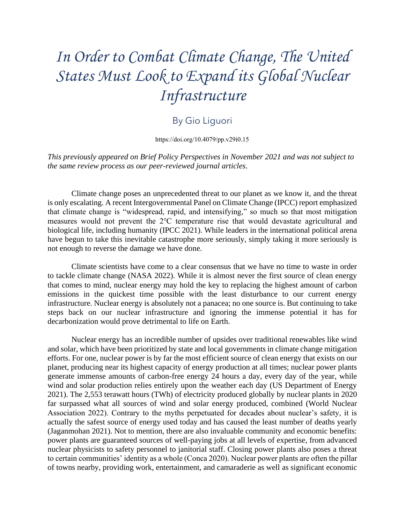## *In Order to Combat Climate Change, The United States Must Look to Expand its Global Nuclear Infrastructure*

## By Gio Liguori

[https://doi.org/10.4079/pp.v29i0.15](https://doi.org/10.4079/pp.v28i0.10.%20%206)

*This previously appeared on Brief Policy Perspectives in November 2021 and was not subject to the same review process as our peer-reviewed journal articles*.

 Climate change poses an unprecedented threat to our planet as we know it, and the threat is only escalating. A recent Intergovernmental Panel on Climate Change (IPCC) report emphasized that climate change is "widespread, rapid, and intensifying," so much so that most mitigation measures would not prevent the 2℃ temperature rise that would devastate agricultural and have begun to take this inevitable catastrophe more seriously, simply taking it more seriously is biological life, including humanity (IPCC 2021). While leaders in the international political arena not enough to reverse the damage we have done.

 Climate scientists have come to a clear consensus that we have no time to waste in order to tackle climate change (NASA 2022). While it is almost never the first source of clean energy that comes to mind, nuclear energy may hold the key to replacing the highest amount of carbon infrastructure. Nuclear energy is absolutely not a panacea; no one source is. But continuing to take steps back on our nuclear infrastructure and ignoring the immense potential it has for emissions in the quickest time possible with the least disturbance to our current energy decarbonization would prove detrimental to life on Earth.

 Nuclear energy has an incredible number of upsides over traditional renewables like wind and solar, which have been prioritized by state and local governments in climate change mitigation nuclear physicists to safety personnel to janitorial staff. Closing power plants also poses a threat to certain communities' identity as a whole (Conca 2020). Nuclear power plants are often the pillar efforts. For one, nuclear power is by far the most efficient source of clean energy that exists on our planet, producing near its highest capacity of energy production at all times; nuclear power plants generate immense amounts of carbon-free energy 24 hours a day, every day of the year, while wind and solar production relies entirely upon the weather each day (US Department of Energy 2021). The 2,553 terawatt hours (TWh) of electricity produced globally by nuclear plants in 2020 far surpassed what all sources of wind and solar energy produced, combined (World Nuclear Association 2022). Contrary to the myths perpetuated for decades about nuclear's safety, it is actually the safest source of energy used today and has caused the least number of deaths yearly (Jaganmohan 2021). Not to mention, there are also invaluable community and economic benefits: power plants are guaranteed sources of well-paying jobs at all levels of expertise, from advanced of towns nearby, providing work, entertainment, and camaraderie as well as significant economic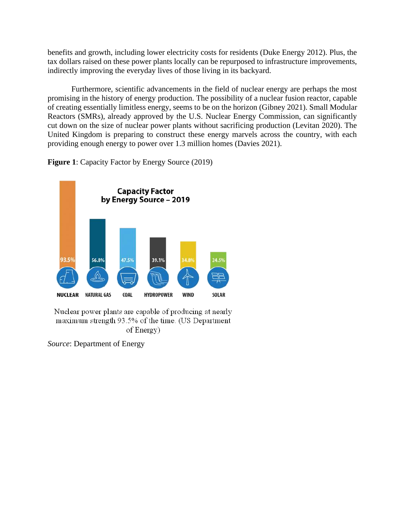benefits and growth, including lower electricity costs for residents (Duke Energy 2012). Plus, the tax dollars raised on these power plants locally can be repurposed to infrastructure improvements, indirectly improving the everyday lives of those living in its backyard.

 of creating essentially limitless energy, seems to be on the horizon (Gibney 2021). Small Modular cut down on the size of nuclear power plants without sacrificing production (Levitan 2020). The United Kingdom is preparing to construct these energy marvels across the country, with each Furthermore, scientific advancements in the field of nuclear energy are perhaps the most promising in the history of energy production. The possibility of a nuclear fusion reactor, capable Reactors (SMRs), already approved by the U.S. Nuclear Energy Commission, can significantly providing enough energy to power over 1.3 million homes (Davies 2021).

**Figure 1**: Capacity Factor by Energy Source (2019)



Nuclear power plants are capable of producing at nearly maximum strength 93.5% of the time. (US Department of Energy)

*Source*: Department of Energy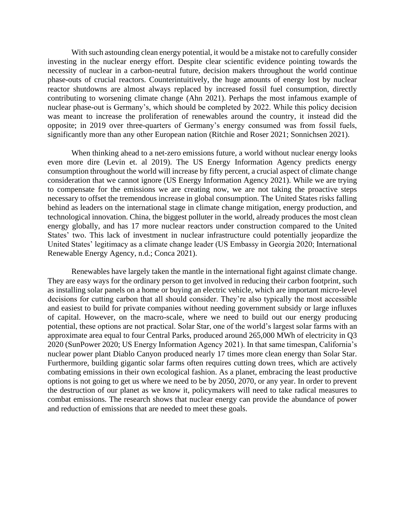With such astounding clean energy potential, it would be a mistake not to carefully consider investing in the nuclear energy effort. Despite clear scientific evidence pointing towards the phase-outs of crucial reactors. Counterintuitively, the huge amounts of energy lost by nuclear contributing to worsening climate change (Ahn 2021). Perhaps the most infamous example of was meant to increase the proliferation of renewables around the country, it instead did the opposite; in 2019 over three-quarters of Germany's energy consumed was from fossil fuels, necessity of nuclear in a carbon-neutral future, decision makers throughout the world continue reactor shutdowns are almost always replaced by increased fossil fuel consumption, directly nuclear phase-out is Germany's, which should be completed by 2022. While this policy decision significantly more than any other European nation (Ritchie and Roser 2021; Sonnichsen 2021).

 even more dire (Levin et. al 2019). The US Energy Information Agency predicts energy consumption throughout the world will increase by fifty percent, a crucial aspect of climate change consideration that we cannot ignore (US Energy Information Agency 2021). While we are trying to compensate for the emissions we are creating now, we are not taking the proactive steps necessary to offset the tremendous increase in global consumption. The United States risks falling behind as leaders on the international stage in climate change mitigation, energy production, and energy globally, and has 17 more nuclear reactors under construction compared to the United When thinking ahead to a net-zero emissions future, a world without nuclear energy looks technological innovation. China, the biggest polluter in the world, already produces the most clean States' two. This lack of investment in nuclear infrastructure could potentially jeopardize the United States' legitimacy as a climate change leader (US Embassy in Georgia 2020; International Renewable Energy Agency, n.d.; Conca 2021).

 Renewables have largely taken the mantle in the international fight against climate change. They are easy ways for the ordinary person to get involved in reducing their carbon footprint, such as installing solar panels on a home or buying an electric vehicle, which are important micro-level and easiest to build for private companies without needing government subsidy or large influxes of capital. However, on the macro-scale, where we need to build out our energy producing combat emissions. The research shows that nuclear energy can provide the abundance of power decisions for cutting carbon that all should consider. They're also typically the most accessible potential, these options are not practical. Solar Star, one of the world's largest solar farms with an approximate area equal to four Central Parks, produced around 265,000 MWh of electricity in Q3 2020 (SunPower 2020; US Energy Information Agency 2021). In that same timespan, California's nuclear power plant Diablo Canyon produced nearly 17 times more clean energy than Solar Star. Furthermore, building gigantic solar farms often requires cutting down trees, which are actively combating emissions in their own ecological fashion. As a planet, embracing the least productive options is not going to get us where we need to be by 2050, 2070, or any year. In order to prevent the destruction of our planet as we know it, policymakers will need to take radical measures to and reduction of emissions that are needed to meet these goals.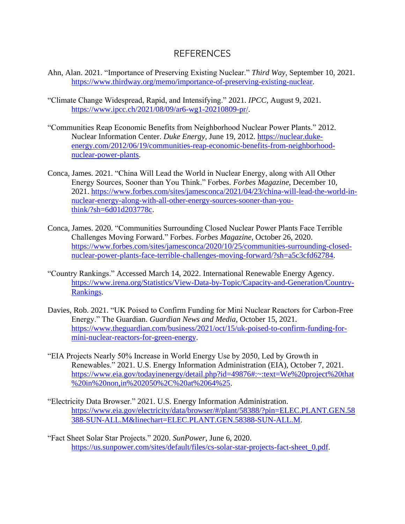## REFERENCES

- Ahn, Alan. 2021. "Importance of Preserving Existing Nuclear." *Third Way*, September 10, 2021. [https://www.thirdway.org/memo/importance-of-preserving-existing-nuclear.](https://www.thirdway.org/memo/importance-of-preserving-existing-nuclear)
- "Climate Change Widespread, Rapid, and Intensifying." 2021. *IPCC*, August 9, 2021. [https://www.ipcc.ch/2021/08/09/ar6-wg1-20210809-pr/.](https://www.ipcc.ch/2021/08/09/ar6-wg1-20210809-pr/)
- "Communities Reap Economic Benefits from Neighborhood Nuclear Power Plants." 2012. Nuclear Information Center. *Duke Energy*, June 19, 2012. [https://nuclear.duke](https://nuclear.duke-energy.com/2012/06/19/communities-reap-economic-benefits-from-neighborhood-nuclear-power-plants)[energy.com/2012/06/19/communities-reap-economic-benefits-from-neighborhood](https://nuclear.duke-energy.com/2012/06/19/communities-reap-economic-benefits-from-neighborhood-nuclear-power-plants)[nuclear-power-plants.](https://nuclear.duke-energy.com/2012/06/19/communities-reap-economic-benefits-from-neighborhood-nuclear-power-plants)
- Conca, James. 2021. "China Will Lead the World in Nuclear Energy, along with All Other Energy Sources, Sooner than You Think." Forbes. *Forbes Magazine*, December 10, 2021. [https://www.forbes.com/sites/jamesconca/2021/04/23/china-will-lead-the-world-in](https://www.forbes.com/sites/jamesconca/2021/04/23/china-will-lead-the-world-in-nuclear-energy-along-with-all-other-energy-sources-sooner-than-you-think/?sh=6d01d203778c)[nuclear-energy-along-with-all-other-energy-sources-sooner-than-you](https://www.forbes.com/sites/jamesconca/2021/04/23/china-will-lead-the-world-in-nuclear-energy-along-with-all-other-energy-sources-sooner-than-you-think/?sh=6d01d203778c)[think/?sh=6d01d203778c.](https://www.forbes.com/sites/jamesconca/2021/04/23/china-will-lead-the-world-in-nuclear-energy-along-with-all-other-energy-sources-sooner-than-you-think/?sh=6d01d203778c)
- Conca, James. 2020. "Communities Surrounding Closed Nuclear Power Plants Face Terrible Challenges Moving Forward." Forbes. *Forbes Magazine*, October 26, 2020. [https://www.forbes.com/sites/jamesconca/2020/10/25/communities-surrounding-closed](https://www.forbes.com/sites/jamesconca/2020/10/25/communities-surrounding-closed-nuclear-power-plants-face-terrible-challenges-moving-forward/?sh=a5c3cfd62784)[nuclear-power-plants-face-terrible-challenges-moving-forward/?sh=a5c3cfd62784.](https://www.forbes.com/sites/jamesconca/2020/10/25/communities-surrounding-closed-nuclear-power-plants-face-terrible-challenges-moving-forward/?sh=a5c3cfd62784)
- "Country Rankings." Accessed March 14, 2022. International Renewable Energy Agency. [https://www.irena.org/Statistics/View-Data-by-Topic/Capacity-and-Generation/Country-](https://www.irena.org/Statistics/View-Data-by-Topic/Capacity-and-Generation/Country-Rankings)[Rankings.](https://www.irena.org/Statistics/View-Data-by-Topic/Capacity-and-Generation/Country-Rankings)
- Davies, Rob. 2021. "UK Poised to Confirm Funding for Mini Nuclear Reactors for Carbon-Free Energy." The Guardian. *Guardian News and Media*, October 15, 2021. [https://www.theguardian.com/business/2021/oct/15/uk-poised-to-confirm-funding-for](https://www.theguardian.com/business/2021/oct/15/uk-poised-to-confirm-funding-for-mini-nuclear-reactors-for-green-energy)[mini-nuclear-reactors-for-green-energy.](https://www.theguardian.com/business/2021/oct/15/uk-poised-to-confirm-funding-for-mini-nuclear-reactors-for-green-energy)
- "EIA Projects Nearly 50% Increase in World Energy Use by 2050, Led by Growth in Renewables." 2021. U.S. Energy Information Administration (EIA), October 7, 2021. [https://www.eia.gov/todayinenergy/detail.php?id=49876#:~:text=We%20project%20that](https://www.eia.gov/todayinenergy/detail.php?id=49876#:~:text=We%20project%20that%20in%20non,in%202050%2C%20at%2064%25)  [%20in%20non,in%202050%2C%20at%2064%25.](https://www.eia.gov/todayinenergy/detail.php?id=49876#:~:text=We%20project%20that%20in%20non,in%202050%2C%20at%2064%25)
- "Electricity Data Browser." 2021. U.S. Energy Information Administration. [https://www.eia.gov/electricity/data/browser/#/plant/58388/?pin=ELEC.PLANT.GEN.58](https://www.eia.gov/electricity/data/browser/#/plant/58388/?pin=ELEC.PLANT.GEN.58388-SUN-ALL.M&linechart=ELEC.PLANT.GEN.58388-SUN-ALL.M)  [388-SUN-ALL.M&linechart=ELEC.PLANT.GEN.58388-SUN-ALL.M.](https://www.eia.gov/electricity/data/browser/#/plant/58388/?pin=ELEC.PLANT.GEN.58388-SUN-ALL.M&linechart=ELEC.PLANT.GEN.58388-SUN-ALL.M)
- "Fact Sheet Solar Star Projects." 2020. *SunPower*, June 6, 2020. [https://us.sunpower.com/sites/default/files/cs-solar-star-projects-fact-sheet\\_0.pdf.](https://us.sunpower.com/sites/default/files/cs-solar-star-projects-fact-sheet_0.pdf)